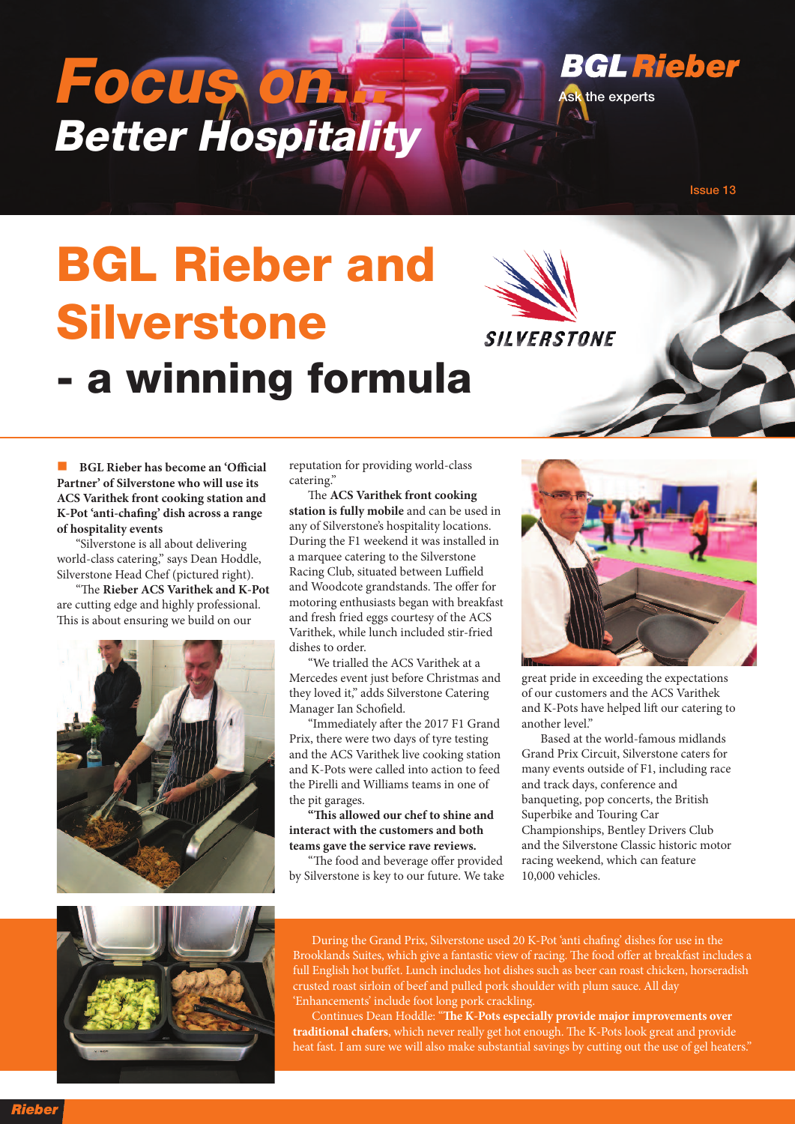# **Focus on... Better Hospitality**



**Issue 13**

# **BGL Rieber and Silverstone - a winning formula**



n **BGL Rieber has become an 'Official Partner' of Silverstone who will use its ACS Varithek front cooking station and K-Pot 'anti-chafing' dish across a range of hospitality events**

"Silverstone is all about delivering world-class catering," says Dean Hoddle, Silverstone Head Chef (pictured right).

"The Rieber ACS Varithek and K-Pot are cutting edge and highly professional. This is about ensuring we build on our





reputation for providing world-class catering."

e **ACS Varithek front cooking station is fully mobile** and can be used in any of Silverstone's hospitality locations. During the F1 weekend it was installed in a marquee catering to the Silverstone Racing Club, situated between Luffield and Woodcote grandstands. The offer for motoring enthusiasts began with breakfast and fresh fried eggs courtesy of the ACS Varithek, while lunch included stir-fried dishes to order.

"We trialled the ACS Varithek at a Mercedes event just before Christmas and they loved it," adds Silverstone Catering Manager Ian Schofield.

"Immediately after the 2017 F1 Grand Prix, there were two days of tyre testing and the ACS Varithek live cooking station and K-Pots were called into action to feed the Pirelli and Williams teams in one of the pit garages.

**"is allowed our chef to shine and interact with the customers and both teams gave the service rave reviews.**

"The food and beverage offer provided by Silverstone is key to our future. We take



great pride in exceeding the expectations of our customers and the ACS Varithek and K-Pots have helped lift our catering to another level."

Based at the world-famous midlands Grand Prix Circuit, Silverstone caters for many events outside of F1, including race and track days, conference and banqueting, pop concerts, the British Superbike and Touring Car Championships, Bentley Drivers Club and the Silverstone Classic historic motor racing weekend, which can feature 10,000 vehicles.

During the Grand Prix, Silverstone used 20 K-Pot 'anti chafing' dishes for use in the Brooklands Suites, which give a fantastic view of racing. The food offer at breakfast includes a full English hot buffet. Lunch includes hot dishes such as beer can roast chicken, horseradish crusted roast sirloin of beef and pulled pork shoulder with plum sauce. All day 'Enhancements' include foot long pork crackling.

Continues Dean Hoddle: "**e K-Pots especially provide major improvements over** traditional chafers, which never really get hot enough. The K-Pots look great and provide heat fast. I am sure we will also make substantial savings by cutting out the use of gel heaters."